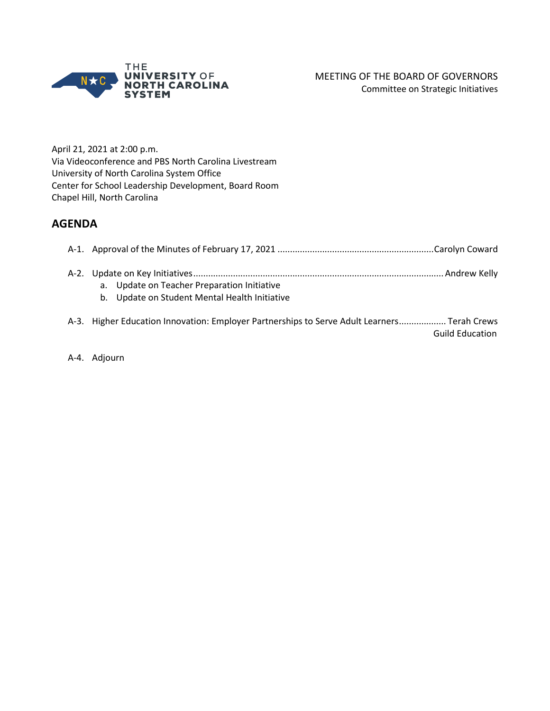

April 21, 2021 at 2:00 p.m. Via Videoconference and PBS North Carolina Livestream University of North Carolina System Office Center for School Leadership Development, Board Room Chapel Hill, North Carolina

## **AGENDA**

| a. Update on Teacher Preparation Initiative<br>b. Update on Student Mental Health Initiative |  |
|----------------------------------------------------------------------------------------------|--|
| A-3. Higher Education Innovation: Employer Partnerships to Serve Adult Learners Terah Crews  |  |

Guild Education

A-4. Adjourn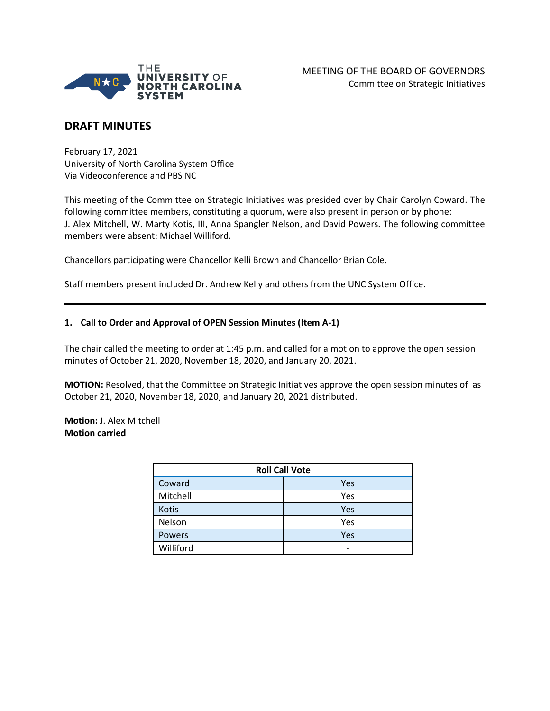

## **DRAFT MINUTES**

February 17, 2021 University of North Carolina System Office Via Videoconference and PBS NC

This meeting of the Committee on Strategic Initiatives was presided over by Chair Carolyn Coward. The following committee members, constituting a quorum, were also present in person or by phone: J. Alex Mitchell, W. Marty Kotis, III, Anna Spangler Nelson, and David Powers. The following committee members were absent: Michael Williford.

Chancellors participating were Chancellor Kelli Brown and Chancellor Brian Cole.

Staff members present included Dr. Andrew Kelly and others from the UNC System Office.

#### **1. Call to Order and Approval of OPEN Session Minutes (Item A-1)**

The chair called the meeting to order at 1:45 p.m. and called for a motion to approve the open session minutes of October 21, 2020, November 18, 2020, and January 20, 2021.

**MOTION:** Resolved, that the Committee on Strategic Initiatives approve the open session minutes of as October 21, 2020, November 18, 2020, and January 20, 2021 distributed.

#### **Motion:** J. Alex Mitchell **Motion carried**

| <b>Roll Call Vote</b> |     |  |
|-----------------------|-----|--|
| Coward                | Yes |  |
| Mitchell              | Yes |  |
| Kotis                 | Yes |  |
| Nelson                | Yes |  |
| <b>Powers</b>         | Yes |  |
| Williford             |     |  |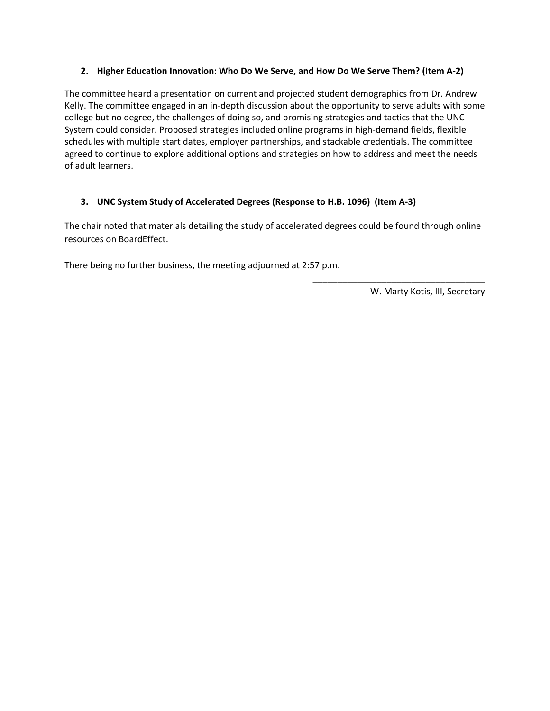#### **2. Higher Education Innovation: Who Do We Serve, and How Do We Serve Them? (Item A-2)**

The committee heard a presentation on current and projected student demographics from Dr. Andrew Kelly. The committee engaged in an in-depth discussion about the opportunity to serve adults with some college but no degree, the challenges of doing so, and promising strategies and tactics that the UNC System could consider. Proposed strategies included online programs in high-demand fields, flexible schedules with multiple start dates, employer partnerships, and stackable credentials. The committee agreed to continue to explore additional options and strategies on how to address and meet the needs of adult learners.

### **3. UNC System Study of Accelerated Degrees (Response to H.B. 1096) (Item A-3)**

The chair noted that materials detailing the study of accelerated degrees could be found through online resources on BoardEffect.

There being no further business, the meeting adjourned at 2:57 p.m.

W. Marty Kotis, III, Secretary

\_\_\_\_\_\_\_\_\_\_\_\_\_\_\_\_\_\_\_\_\_\_\_\_\_\_\_\_\_\_\_\_\_\_\_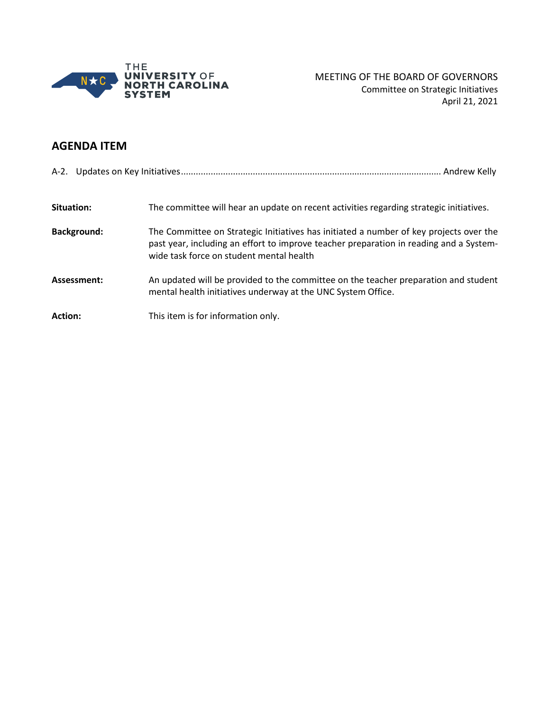

# **AGENDA ITEM**

| Situation:         | The committee will hear an update on recent activities regarding strategic initiatives.                                                                                                                                      |  |
|--------------------|------------------------------------------------------------------------------------------------------------------------------------------------------------------------------------------------------------------------------|--|
| <b>Background:</b> | The Committee on Strategic Initiatives has initiated a number of key projects over the<br>past year, including an effort to improve teacher preparation in reading and a System-<br>wide task force on student mental health |  |
| Assessment:        | An updated will be provided to the committee on the teacher preparation and student<br>mental health initiatives underway at the UNC System Office.                                                                          |  |
| <b>Action:</b>     | This item is for information only.                                                                                                                                                                                           |  |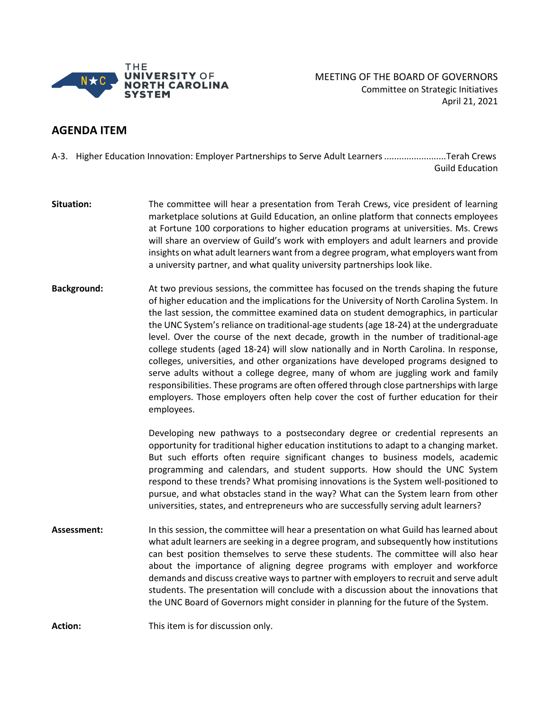

MEETING OF THE BOARD OF GOVERNORS Committee on Strategic Initiatives April 21, 2021

## **AGENDA ITEM**

A-3. Higher Education Innovation: Employer Partnerships to Serve Adult Learners.........................Terah Crews Guild Education

**Situation:** The committee will hear a presentation from Terah Crews, vice president of learning marketplace solutions at Guild Education, an online platform that connects employees at Fortune 100 corporations to higher education programs at universities. Ms. Crews will share an overview of Guild's work with employers and adult learners and provide insights on what adult learners want from a degree program, what employers want from a university partner, and what quality university partnerships look like.

**Background:** At two previous sessions, the committee has focused on the trends shaping the future of higher education and the implications for the University of North Carolina System. In the last session, the committee examined data on student demographics, in particular the UNC System's reliance on traditional-age students (age 18-24) at the undergraduate level. Over the course of the next decade, growth in the number of traditional-age college students (aged 18-24) will slow nationally and in North Carolina. In response, colleges, universities, and other organizations have developed programs designed to serve adults without a college degree, many of whom are juggling work and family responsibilities. These programs are often offered through close partnerships with large employers. Those employers often help cover the cost of further education for their employees.

> Developing new pathways to a postsecondary degree or credential represents an opportunity for traditional higher education institutions to adapt to a changing market. But such efforts often require significant changes to business models, academic programming and calendars, and student supports. How should the UNC System respond to these trends? What promising innovations is the System well-positioned to pursue, and what obstacles stand in the way? What can the System learn from other universities, states, and entrepreneurs who are successfully serving adult learners?

**Assessment:** In this session, the committee will hear a presentation on what Guild has learned about what adult learners are seeking in a degree program, and subsequently how institutions can best position themselves to serve these students. The committee will also hear about the importance of aligning degree programs with employer and workforce demands and discuss creative ways to partner with employers to recruit and serve adult students. The presentation will conclude with a discussion about the innovations that the UNC Board of Governors might consider in planning for the future of the System.

**Action:** This item is for discussion only.